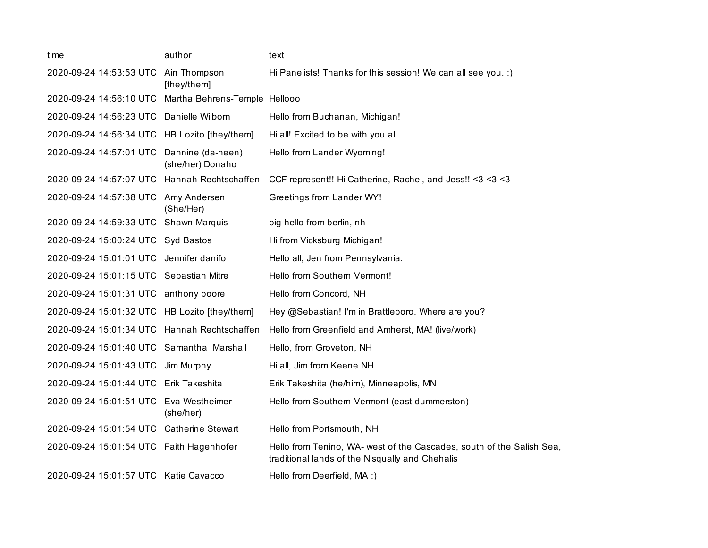| time                                          | author                                | text                                                                                                                     |
|-----------------------------------------------|---------------------------------------|--------------------------------------------------------------------------------------------------------------------------|
| 2020-09-24 14:53:53 UTC                       | Ain Thompson<br>[they/them]           | Hi Panelists! Thanks for this session! We can all see you. :)                                                            |
| 2020-09-24 14:56:10 UTC                       | Martha Behrens-Temple Hellooo         |                                                                                                                          |
| 2020-09-24 14:56:23 UTC                       | Danielle Wilborn                      | Hello from Buchanan, Michigan!                                                                                           |
| 2020-09-24 14:56:34 UTC HB Lozito [they/them] |                                       | Hi all! Excited to be with you all.                                                                                      |
| 2020-09-24 14:57:01 UTC                       | Dannine (da-neen)<br>(she/her) Donaho | Hello from Lander Wyoming!                                                                                               |
| 2020-09-24 14:57:07 UTC Hannah Rechtschaffen  |                                       | CCF represent!! Hi Catherine, Rachel, and Jess!! <3 <3 <3                                                                |
| 2020-09-24 14:57:38 UTC                       | Amy Andersen<br>(She/Her)             | Greetings from Lander WY!                                                                                                |
| 2020-09-24 14:59:33 UTC                       | Shawn Marquis                         | big hello from berlin, nh                                                                                                |
| 2020-09-24 15:00:24 UTC Syd Bastos            |                                       | Hi from Vicksburg Michigan!                                                                                              |
| 2020-09-24 15:01:01 UTC Jennifer danifo       |                                       | Hello all, Jen from Pennsylvania.                                                                                        |
| 2020-09-24 15:01:15 UTC Sebastian Mitre       |                                       | Hello from Southern Vermont!                                                                                             |
| 2020-09-24 15:01:31 UTC anthony poore         |                                       | Hello from Concord, NH                                                                                                   |
| 2020-09-24 15:01:32 UTC HB Lozito [they/them] |                                       | Hey @Sebastian! I'm in Brattleboro. Where are you?                                                                       |
| 2020-09-24 15:01:34 UTC Hannah Rechtschaffen  |                                       | Hello from Greenfield and Amherst, MA! (live/work)                                                                       |
| 2020-09-24 15:01:40 UTC Samantha Marshall     |                                       | Hello, from Groveton, NH                                                                                                 |
| 2020-09-24 15:01:43 UTC                       | Jim Murphy                            | Hi all, Jim from Keene NH                                                                                                |
| 2020-09-24 15:01:44 UTC Erik Takeshita        |                                       | Erik Takeshita (he/him), Minneapolis, MN                                                                                 |
| 2020-09-24 15:01:51 UTC Eva Westheimer        | (she/her)                             | Hello from Southern Vermont (east dummerston)                                                                            |
| 2020-09-24 15:01:54 UTC Catherine Stewart     |                                       | Hello from Portsmouth, NH                                                                                                |
| 2020-09-24 15:01:54 UTC Faith Hagenhofer      |                                       | Hello from Tenino, WA- west of the Cascades, south of the Salish Sea,<br>traditional lands of the Nisqually and Chehalis |
| 2020-09-24 15:01:57 UTC Katie Cavacco         |                                       | Hello from Deerfield, MA :)                                                                                              |
|                                               |                                       |                                                                                                                          |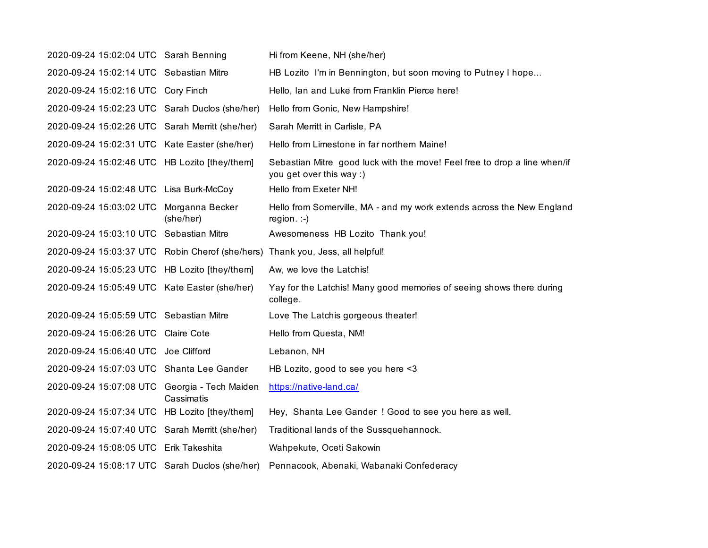| 2020-09-24 15:02:04 UTC Sarah Benning           |                                     | Hi from Keene, NH (she/her)                                                                           |
|-------------------------------------------------|-------------------------------------|-------------------------------------------------------------------------------------------------------|
| 2020-09-24 15:02:14 UTC Sebastian Mitre         |                                     | HB Lozito I'm in Bennington, but soon moving to Putney I hope                                         |
| 2020-09-24 15:02:16 UTC Cory Finch              |                                     | Hello, Ian and Luke from Franklin Pierce here!                                                        |
| 2020-09-24 15:02:23 UTC Sarah Duclos (she/her)  |                                     | Hello from Gonic, New Hampshire!                                                                      |
| 2020-09-24 15:02:26 UTC Sarah Merritt (she/her) |                                     | Sarah Merritt in Carlisle, PA                                                                         |
| 2020-09-24 15:02:31 UTC Kate Easter (she/her)   |                                     | Hello from Limestone in far northern Maine!                                                           |
| 2020-09-24 15:02:46 UTC HB Lozito [they/them]   |                                     | Sebastian Mitre good luck with the move! Feel free to drop a line when/if<br>you get over this way :) |
| 2020-09-24 15:02:48 UTC Lisa Burk-McCoy         |                                     | Hello from Exeter NH!                                                                                 |
| 2020-09-24 15:03:02 UTC Morganna Becker         | (she/her)                           | Hello from Somerville, MA - and my work extends across the New England<br>region. $:-)$               |
| 2020-09-24 15:03:10 UTC Sebastian Mitre         |                                     | Awesomeness HB Lozito Thank you!                                                                      |
|                                                 |                                     | 2020-09-24 15:03:37 UTC Robin Cherof (she/hers) Thank you, Jess, all helpful!                         |
| 2020-09-24 15:05:23 UTC HB Lozito [they/them]   |                                     | Aw, we love the Latchis!                                                                              |
| 2020-09-24 15:05:49 UTC Kate Easter (she/her)   |                                     | Yay for the Latchis! Many good memories of seeing shows there during<br>college.                      |
| 2020-09-24 15:05:59 UTC Sebastian Mitre         |                                     | Love The Latchis gorgeous theater!                                                                    |
| 2020-09-24 15:06:26 UTC                         | <b>Claire Cote</b>                  | Hello from Questa, NM!                                                                                |
| 2020-09-24 15:06:40 UTC Joe Clifford            |                                     | Lebanon, NH                                                                                           |
| 2020-09-24 15:07:03 UTC Shanta Lee Gander       |                                     | HB Lozito, good to see you here <3                                                                    |
| 2020-09-24 15:07:08 UTC                         | Georgia - Tech Maiden<br>Cassimatis | https://native-land.ca/                                                                               |
| 2020-09-24 15:07:34 UTC                         | HB Lozito [they/them]               | Hey, Shanta Lee Gander ! Good to see you here as well.                                                |
| 2020-09-24 15:07:40 UTC Sarah Merritt (she/her) |                                     | Traditional lands of the Sussquehannock.                                                              |
| 2020-09-24 15:08:05 UTC Erik Takeshita          |                                     | Wahpekute, Oceti Sakowin                                                                              |
| 2020-09-24 15:08:17 UTC Sarah Duclos (she/her)  |                                     | Pennacook, Abenaki, Wabanaki Confederacy                                                              |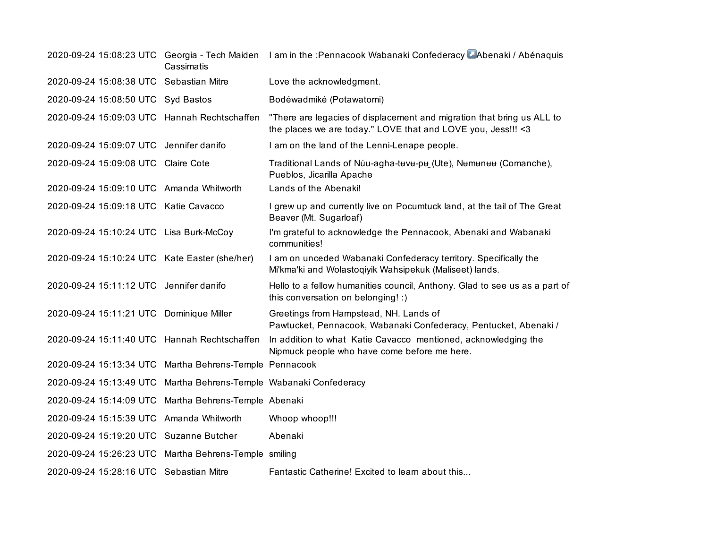|                                                                    | Cassimatis | 2020-09-24 15:08:23 UTC Georgia - Tech Maiden I am in the :Pennacook Wabanaki Confederacy Abenaki / Abénaquis                          |
|--------------------------------------------------------------------|------------|----------------------------------------------------------------------------------------------------------------------------------------|
| 2020-09-24 15:08:38 UTC Sebastian Mitre                            |            | Love the acknowledgment.                                                                                                               |
| 2020-09-24 15:08:50 UTC Syd Bastos                                 |            | Bodéwadmiké (Potawatomi)                                                                                                               |
| 2020-09-24 15:09:03 UTC Hannah Rechtschaffen                       |            | "There are legacies of displacement and migration that bring us ALL to<br>the places we are today." LOVE that and LOVE you, Jess!!! <3 |
| 2020-09-24 15:09:07 UTC Jennifer danifo                            |            | I am on the land of the Lenni-Lenape people.                                                                                           |
| 2020-09-24 15:09:08 UTC Claire Cote                                |            | Traditional Lands of Núu-agha-tuvu-pu (Ute), Numunuu (Comanche),<br>Pueblos, Jicarilla Apache                                          |
| 2020-09-24 15:09:10 UTC Amanda Whitworth                           |            | Lands of the Abenaki!                                                                                                                  |
| 2020-09-24 15:09:18 UTC Katie Cavacco                              |            | I grew up and currently live on Pocumtuck land, at the tail of The Great<br>Beaver (Mt. Sugarloaf)                                     |
| 2020-09-24 15:10:24 UTC Lisa Burk-McCoy                            |            | I'm grateful to acknowledge the Pennacook, Abenaki and Wabanaki<br>communities!                                                        |
| 2020-09-24 15:10:24 UTC Kate Easter (she/her)                      |            | I am on unceded Wabanaki Confederacy territory. Specifically the<br>Mi'kma'ki and Wolastoqiyik Wahsipekuk (Maliseet) lands.            |
| 2020-09-24 15:11:12 UTC Jennifer danifo                            |            | Hello to a fellow humanities council, Anthony. Glad to see us as a part of<br>this conversation on belonging! :)                       |
| 2020-09-24 15:11:21 UTC Dominique Miller                           |            | Greetings from Hampstead, NH. Lands of<br>Pawtucket, Pennacook, Wabanaki Confederacy, Pentucket, Abenaki /                             |
| 2020-09-24 15:11:40 UTC Hannah Rechtschaffen                       |            | In addition to what Katie Cavacco mentioned, acknowledging the<br>Nipmuck people who have come before me here.                         |
| 2020-09-24 15:13:34 UTC Martha Behrens-Temple Pennacook            |            |                                                                                                                                        |
| 2020-09-24 15:13:49 UTC Martha Behrens-Temple Wabanaki Confederacy |            |                                                                                                                                        |
| 2020-09-24 15:14:09 UTC Martha Behrens-Temple Abenaki              |            |                                                                                                                                        |
| 2020-09-24 15:15:39 UTC Amanda Whitworth                           |            | Whoop whoop!!!                                                                                                                         |
| 2020-09-24 15:19:20 UTC Suzanne Butcher                            |            | Abenaki                                                                                                                                |
| 2020-09-24 15:26:23 UTC Martha Behrens-Temple smiling              |            |                                                                                                                                        |
| 2020-09-24 15:28:16 UTC Sebastian Mitre                            |            | Fantastic Catherine! Excited to learn about this                                                                                       |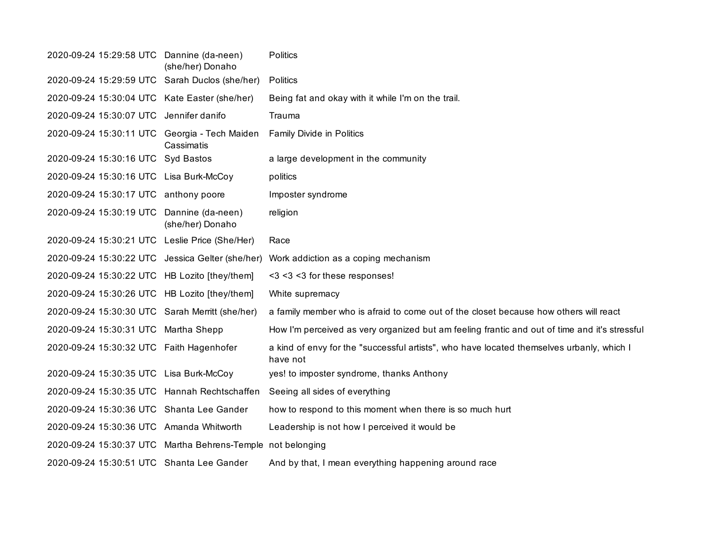| 2020-09-24 15:29:58 UTC Dannine (da-neen)                   | (she/her) Donaho                      | <b>Politics</b>                                                                                       |
|-------------------------------------------------------------|---------------------------------------|-------------------------------------------------------------------------------------------------------|
| 2020-09-24 15:29:59 UTC Sarah Duclos (she/her)              |                                       | Politics                                                                                              |
| 2020-09-24 15:30:04 UTC Kate Easter (she/her)               |                                       | Being fat and okay with it while I'm on the trail.                                                    |
| 2020-09-24 15:30:07 UTC Jennifer danifo                     |                                       | Trauma                                                                                                |
| 2020-09-24 15:30:11 UTC Georgia - Tech Maiden               | Cassimatis                            | Family Divide in Politics                                                                             |
| 2020-09-24 15:30:16 UTC Syd Bastos                          |                                       | a large development in the community                                                                  |
| 2020-09-24 15:30:16 UTC Lisa Burk-McCoy                     |                                       | politics                                                                                              |
| 2020-09-24 15:30:17 UTC anthony poore                       |                                       | Imposter syndrome                                                                                     |
| 2020-09-24 15:30:19 UTC                                     | Dannine (da-neen)<br>(she/her) Donaho | religion                                                                                              |
| 2020-09-24 15:30:21 UTC Leslie Price (She/Her)              |                                       | Race                                                                                                  |
| 2020-09-24 15:30:22 UTC Jessica Gelter (she/her)            |                                       | Work addiction as a coping mechanism                                                                  |
| 2020-09-24 15:30:22 UTC HB Lozito [they/them]               |                                       | <3 <3 <3 for these responses!                                                                         |
| 2020-09-24 15:30:26 UTC HB Lozito [they/them]               |                                       | White supremacy                                                                                       |
| 2020-09-24 15:30:30 UTC Sarah Merritt (she/her)             |                                       | a family member who is afraid to come out of the closet because how others will react                 |
| 2020-09-24 15:30:31 UTC Martha Shepp                        |                                       | How I'm perceived as very organized but am feeling frantic and out of time and it's stressful         |
| 2020-09-24 15:30:32 UTC Faith Hagenhofer                    |                                       | a kind of envy for the "successful artists", who have located themselves urbanly, which I<br>have not |
| 2020-09-24 15:30:35 UTC Lisa Burk-McCoy                     |                                       | yes! to imposter syndrome, thanks Anthony                                                             |
| 2020-09-24 15:30:35 UTC Hannah Rechtschaffen                |                                       | Seeing all sides of everything                                                                        |
| 2020-09-24 15:30:36 UTC Shanta Lee Gander                   |                                       | how to respond to this moment when there is so much hurt                                              |
| 2020-09-24 15:30:36 UTC Amanda Whitworth                    |                                       | Leadership is not how I perceived it would be                                                         |
| 2020-09-24 15:30:37 UTC Martha Behrens-Temple not belonging |                                       |                                                                                                       |
| 2020-09-24 15:30:51 UTC Shanta Lee Gander                   |                                       | And by that, I mean everything happening around race                                                  |
|                                                             |                                       |                                                                                                       |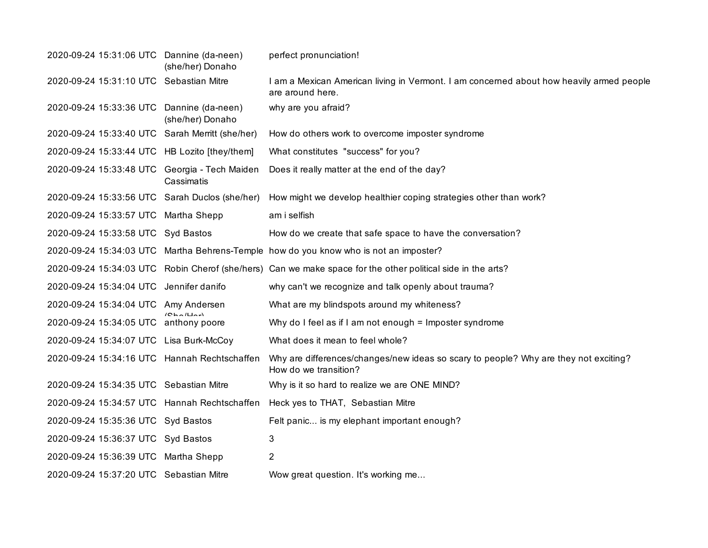| 2020-09-24 15:31:06 UTC Dannine (da-neen)       | (she/her) Donaho | perfect pronunciation!                                                                                        |
|-------------------------------------------------|------------------|---------------------------------------------------------------------------------------------------------------|
| 2020-09-24 15:31:10 UTC Sebastian Mitre         |                  | I am a Mexican American living in Vermont. I am concerned about how heavily armed people<br>are around here.  |
| 2020-09-24 15:33:36 UTC Dannine (da-neen)       | (she/her) Donaho | why are you afraid?                                                                                           |
| 2020-09-24 15:33:40 UTC Sarah Merritt (she/her) |                  | How do others work to overcome imposter syndrome                                                              |
| 2020-09-24 15:33:44 UTC HB Lozito [they/them]   |                  | What constitutes "success" for you?                                                                           |
| 2020-09-24 15:33:48 UTC Georgia - Tech Maiden   | Cassimatis       | Does it really matter at the end of the day?                                                                  |
| 2020-09-24 15:33:56 UTC Sarah Duclos (she/her)  |                  | How might we develop healthier coping strategies other than work?                                             |
| 2020-09-24 15:33:57 UTC Martha Shepp            |                  | am i selfish                                                                                                  |
| 2020-09-24 15:33:58 UTC Syd Bastos              |                  | How do we create that safe space to have the conversation?                                                    |
|                                                 |                  | 2020-09-24 15:34:03 UTC Martha Behrens-Temple how do you know who is not an imposter?                         |
|                                                 |                  | 2020-09-24 15:34:03 UTC Robin Cherof (she/hers) Can we make space for the other political side in the arts?   |
| 2020-09-24 15:34:04 UTC Jennifer danifo         |                  | why can't we recognize and talk openly about trauma?                                                          |
| 2020-09-24 15:34:04 UTC Amy Andersen            |                  | What are my blindspots around my whiteness?                                                                   |
| 2020-09-24 15:34:05 UTC anthony poore           | (CholUn)         | Why do I feel as if I am not enough = Imposter syndrome                                                       |
| 2020-09-24 15:34:07 UTC Lisa Burk-McCoy         |                  | What does it mean to feel whole?                                                                              |
| 2020-09-24 15:34:16 UTC Hannah Rechtschaffen    |                  | Why are differences/changes/new ideas so scary to people? Why are they not exciting?<br>How do we transition? |
| 2020-09-24 15:34:35 UTC Sebastian Mitre         |                  | Why is it so hard to realize we are ONE MIND?                                                                 |
| 2020-09-24 15:34:57 UTC Hannah Rechtschaffen    |                  | Heck yes to THAT, Sebastian Mitre                                                                             |
| 2020-09-24 15:35:36 UTC Syd Bastos              |                  | Felt panic is my elephant important enough?                                                                   |
| 2020-09-24 15:36:37 UTC Syd Bastos              |                  | 3                                                                                                             |
| 2020-09-24 15:36:39 UTC Martha Shepp            |                  | $\overline{2}$                                                                                                |
| 2020-09-24 15:37:20 UTC Sebastian Mitre         |                  | Wow great question. It's working me                                                                           |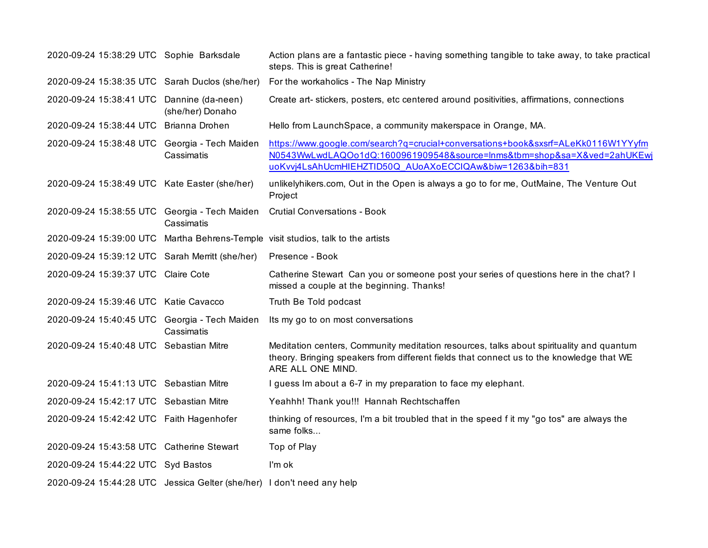| 2020-09-24 15:38:29 UTC Sophie Barksdale                               |                  | Action plans are a fantastic piece - having something tangible to take away, to take practical<br>steps. This is great Catherine!                                                                                        |
|------------------------------------------------------------------------|------------------|--------------------------------------------------------------------------------------------------------------------------------------------------------------------------------------------------------------------------|
| 2020-09-24 15:38:35 UTC Sarah Duclos (she/her)                         |                  | For the workaholics - The Nap Ministry                                                                                                                                                                                   |
| 2020-09-24 15:38:41 UTC Dannine (da-neen)                              | (she/her) Donaho | Create art-stickers, posters, etc centered around positivities, affirmations, connections                                                                                                                                |
| 2020-09-24 15:38:44 UTC Brianna Drohen                                 |                  | Hello from LaunchSpace, a community makerspace in Orange, MA.                                                                                                                                                            |
| 2020-09-24 15:38:48 UTC Georgia - Tech Maiden                          | Cassimatis       | https://www.google.com/search?q=crucial+conversations+book&sxsrf=ALeKk0116W1YYyfm<br>N0543WwLwdLAQOo1dQ:1600961909548&source=lnms&tbm=shop&sa=X&ved=2ahUKEwj<br>uoKvvj4LsAhUcmHIEHZTID50Q AUoAXoECCIQAw&biw=1263&bih=831 |
| 2020-09-24 15:38:49 UTC Kate Easter (she/her)                          |                  | unlikelyhikers.com, Out in the Open is always a go to for me, OutMaine, The Venture Out<br>Project                                                                                                                       |
| 2020-09-24 15:38:55 UTC Georgia - Tech Maiden                          | Cassimatis       | <b>Crutial Conversations - Book</b>                                                                                                                                                                                      |
|                                                                        |                  | 2020-09-24 15:39:00 UTC Martha Behrens-Temple visit studios, talk to the artists                                                                                                                                         |
| 2020-09-24 15:39:12 UTC Sarah Merritt (she/her)                        |                  | Presence - Book                                                                                                                                                                                                          |
| 2020-09-24 15:39:37 UTC Claire Cote                                    |                  | Catherine Stewart Can you or someone post your series of questions here in the chat? I<br>missed a couple at the beginning. Thanks!                                                                                      |
| 2020-09-24 15:39:46 UTC Katie Cavacco                                  |                  | Truth Be Told podcast                                                                                                                                                                                                    |
| 2020-09-24 15:40:45 UTC Georgia - Tech Maiden                          | Cassimatis       | Its my go to on most conversations                                                                                                                                                                                       |
| 2020-09-24 15:40:48 UTC Sebastian Mitre                                |                  | Meditation centers, Community meditation resources, talks about spirituality and quantum<br>theory. Bringing speakers from different fields that connect us to the knowledge that WE<br>ARE ALL ONE MIND.                |
| 2020-09-24 15:41:13 UTC Sebastian Mitre                                |                  | I guess Im about a 6-7 in my preparation to face my elephant.                                                                                                                                                            |
| 2020-09-24 15:42:17 UTC Sebastian Mitre                                |                  | Yeahhh! Thank you!!! Hannah Rechtschaffen                                                                                                                                                                                |
| 2020-09-24 15:42:42 UTC Faith Hagenhofer                               |                  | thinking of resources, I'm a bit troubled that in the speed f it my "go tos" are always the<br>same folks                                                                                                                |
| 2020-09-24 15:43:58 UTC Catherine Stewart                              |                  | Top of Play                                                                                                                                                                                                              |
| 2020-09-24 15:44:22 UTC Syd Bastos                                     |                  | I'm ok                                                                                                                                                                                                                   |
| 2020-09-24 15:44:28 UTC Jessica Gelter (she/her) I don't need any help |                  |                                                                                                                                                                                                                          |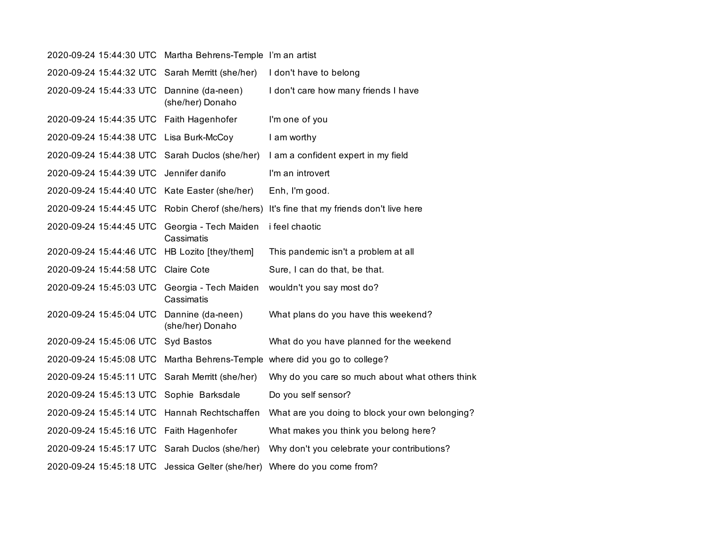| 2020-09-24 15:44:30 UTC | Martha Behrens-Temple I'm an artist   |                                                    |
|-------------------------|---------------------------------------|----------------------------------------------------|
| 2020-09-24 15:44:32 UTC | Sarah Merritt (she/her)               | I don't have to belong                             |
| 2020-09-24 15:44:33 UTC | Dannine (da-neen)<br>(she/her) Donaho | I don't care how many friends I have               |
| 2020-09-24 15:44:35 UTC | Faith Hagenhofer                      | I'm one of you                                     |
| 2020-09-24 15:44:38 UTC | Lisa Burk-McCoy                       | I am worthy                                        |
| 2020-09-24 15:44:38 UTC | Sarah Duclos (she/her)                | I am a confident expert in my field                |
| 2020-09-24 15:44:39 UTC | Jennifer danifo                       | I'm an introvert                                   |
| 2020-09-24 15:44:40 UTC | Kate Easter (she/her)                 | Enh, I'm good.                                     |
| 2020-09-24 15:44:45 UTC | Robin Cherof (she/hers)               | It's fine that my friends don't live here          |
| 2020-09-24 15:44:45 UTC | Georgia - Tech Maiden<br>Cassimatis   | i feel chaotic                                     |
| 2020-09-24 15:44:46 UTC | HB Lozito [they/them]                 | This pandemic isn't a problem at all               |
| 2020-09-24 15:44:58 UTC | Claire Cote                           | Sure, I can do that, be that.                      |
| 2020-09-24 15:45:03 UTC | Georgia - Tech Maiden<br>Cassimatis   | wouldn't you say most do?                          |
| 2020-09-24 15:45:04 UTC | Dannine (da-neen)<br>(she/her) Donaho | What plans do you have this weekend?               |
| 2020-09-24 15:45:06 UTC | Syd Bastos                            | What do you have planned for the weekend           |
| 2020-09-24 15:45:08 UTC |                                       | Martha Behrens-Temple where did you go to college? |
| 2020-09-24 15:45:11 UTC | Sarah Merritt (she/her)               | Why do you care so much about what others think    |
| 2020-09-24 15:45:13 UTC | Sophie Barksdale                      | Do you self sensor?                                |
| 2020-09-24 15:45:14 UTC | Hannah Rechtschaffen                  | What are you doing to block your own belonging?    |
| 2020-09-24 15:45:16 UTC | Faith Hagenhofer                      | What makes you think you belong here?              |
| 2020-09-24 15:45:17 UTC | Sarah Duclos (she/her)                | Why don't you celebrate your contributions?        |
| 2020-09-24 15:45:18 UTC | Jessica Gelter (she/her)              | Where do you come from?                            |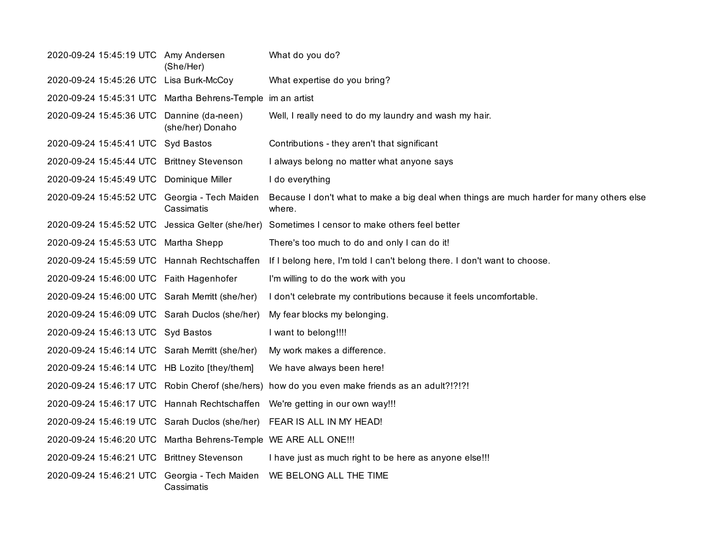| 2020-09-24 15:45:19 UTC Amy Andersen                             | (She/Her)        | What do you do?                                                                                    |
|------------------------------------------------------------------|------------------|----------------------------------------------------------------------------------------------------|
| 2020-09-24 15:45:26 UTC Lisa Burk-McCoy                          |                  | What expertise do you bring?                                                                       |
| 2020-09-24 15:45:31 UTC Martha Behrens-Temple im an artist       |                  |                                                                                                    |
| 2020-09-24 15:45:36 UTC Dannine (da-neen)                        | (she/her) Donaho | Well, I really need to do my laundry and wash my hair.                                             |
| 2020-09-24 15:45:41 UTC Syd Bastos                               |                  | Contributions - they aren't that significant                                                       |
| 2020-09-24 15:45:44 UTC Brittney Stevenson                       |                  | I always belong no matter what anyone says                                                         |
| 2020-09-24 15:45:49 UTC Dominique Miller                         |                  | I do everything                                                                                    |
| 2020-09-24 15:45:52 UTC Georgia - Tech Maiden                    | Cassimatis       | Because I don't what to make a big deal when things are much harder for many others else<br>where. |
|                                                                  |                  | 2020-09-24 15:45:52 UTC Jessica Gelter (she/her) Sometimes I censor to make others feel better     |
| 2020-09-24 15:45:53 UTC Martha Shepp                             |                  | There's too much to do and only I can do it!                                                       |
| 2020-09-24 15:45:59 UTC Hannah Rechtschaffen                     |                  | If I belong here, I'm told I can't belong there. I don't want to choose.                           |
| 2020-09-24 15:46:00 UTC Faith Hagenhofer                         |                  | I'm willing to do the work with you                                                                |
| 2020-09-24 15:46:00 UTC Sarah Merritt (she/her)                  |                  | I don't celebrate my contributions because it feels uncomfortable.                                 |
| 2020-09-24 15:46:09 UTC Sarah Duclos (she/her)                   |                  | My fear blocks my belonging.                                                                       |
| 2020-09-24 15:46:13 UTC Syd Bastos                               |                  | I want to belong!!!!                                                                               |
| 2020-09-24 15:46:14 UTC Sarah Merritt (she/her)                  |                  | My work makes a difference.                                                                        |
| 2020-09-24 15:46:14 UTC HB Lozito [they/them]                    |                  | We have always been here!                                                                          |
|                                                                  |                  | 2020-09-24 15:46:17 UTC Robin Cherof (she/hers) how do you even make friends as an adult?!?!?!     |
| 2020-09-24 15:46:17 UTC Hannah Rechtschaffen                     |                  | We're getting in our own way!!!                                                                    |
|                                                                  |                  | 2020-09-24 15:46:19 UTC Sarah Duclos (she/her) FEAR IS ALL IN MY HEAD!                             |
| 2020-09-24 15:46:20 UTC Martha Behrens-Temple WE ARE ALL ONE !!! |                  |                                                                                                    |
| 2020-09-24 15:46:21 UTC Brittney Stevenson                       |                  | I have just as much right to be here as anyone else!!!                                             |
| 2020-09-24 15:46:21 UTC Georgia - Tech Maiden                    | Cassimatis       | WE BELONG ALL THE TIME                                                                             |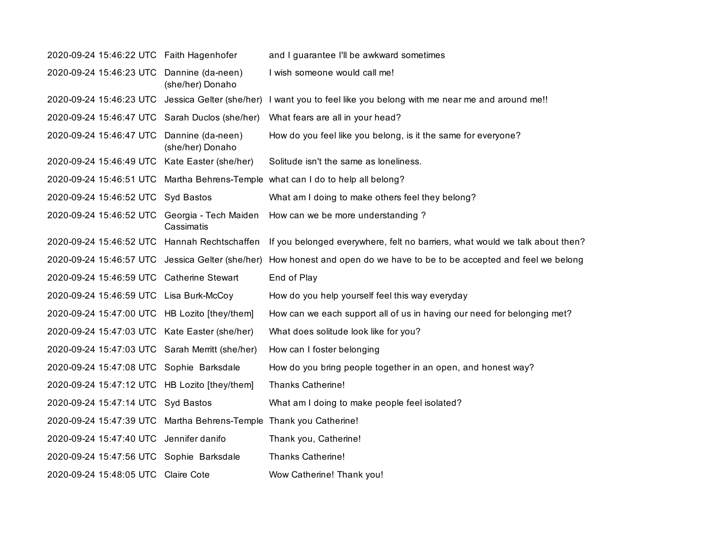| 2020-09-24 15:46:22 UTC Faith Hagenhofer                           |                                       | and I guarantee I'll be awkward sometimes                                       |
|--------------------------------------------------------------------|---------------------------------------|---------------------------------------------------------------------------------|
| 2020-09-24 15:46:23 UTC                                            | Dannine (da-neen)<br>(she/her) Donaho | I wish someone would call me!                                                   |
| 2020-09-24 15:46:23 UTC Jessica Gelter (she/her)                   |                                       | I want you to feel like you belong with me near me and around me!!              |
| 2020-09-24 15:46:47 UTC Sarah Duclos (she/her)                     |                                       | What fears are all in your head?                                                |
| 2020-09-24 15:46:47 UTC Dannine (da-neen)                          | (she/her) Donaho                      | How do you feel like you belong, is it the same for everyone?                   |
| 2020-09-24 15:46:49 UTC Kate Easter (she/her)                      |                                       | Solitude isn't the same as loneliness.                                          |
|                                                                    |                                       | 2020-09-24 15:46:51 UTC Martha Behrens-Temple what can I do to help all belong? |
| 2020-09-24 15:46:52 UTC Syd Bastos                                 |                                       | What am I doing to make others feel they belong?                                |
| 2020-09-24 15:46:52 UTC Georgia - Tech Maiden                      | Cassimatis                            | How can we be more understanding?                                               |
| 2020-09-24 15:46:52 UTC Hannah Rechtschaffen                       |                                       | If you belonged everywhere, felt no barriers, what would we talk about then?    |
| 2020-09-24 15:46:57 UTC Jessica Gelter (she/her)                   |                                       | How honest and open do we have to be to be accepted and feel we belong          |
| 2020-09-24 15:46:59 UTC Catherine Stewart                          |                                       | End of Play                                                                     |
| 2020-09-24 15:46:59 UTC Lisa Burk-McCoy                            |                                       | How do you help yourself feel this way everyday                                 |
| 2020-09-24 15:47:00 UTC HB Lozito [they/them]                      |                                       | How can we each support all of us in having our need for belonging met?         |
| 2020-09-24 15:47:03 UTC Kate Easter (she/her)                      |                                       | What does solitude look like for you?                                           |
| 2020-09-24 15:47:03 UTC Sarah Merritt (she/her)                    |                                       | How can I foster belonging                                                      |
| 2020-09-24 15:47:08 UTC Sophie Barksdale                           |                                       | How do you bring people together in an open, and honest way?                    |
| 2020-09-24 15:47:12 UTC HB Lozito [they/them]                      |                                       | <b>Thanks Catherine!</b>                                                        |
| 2020-09-24 15:47:14 UTC Syd Bastos                                 |                                       | What am I doing to make people feel isolated?                                   |
| 2020-09-24 15:47:39 UTC Martha Behrens-Temple Thank you Catherine! |                                       |                                                                                 |
| 2020-09-24 15:47:40 UTC Jennifer danifo                            |                                       | Thank you, Catherine!                                                           |
| 2020-09-24 15:47:56 UTC Sophie Barksdale                           |                                       | <b>Thanks Catherine!</b>                                                        |
| 2020-09-24 15:48:05 UTC Claire Cote                                |                                       | Wow Catherine! Thank you!                                                       |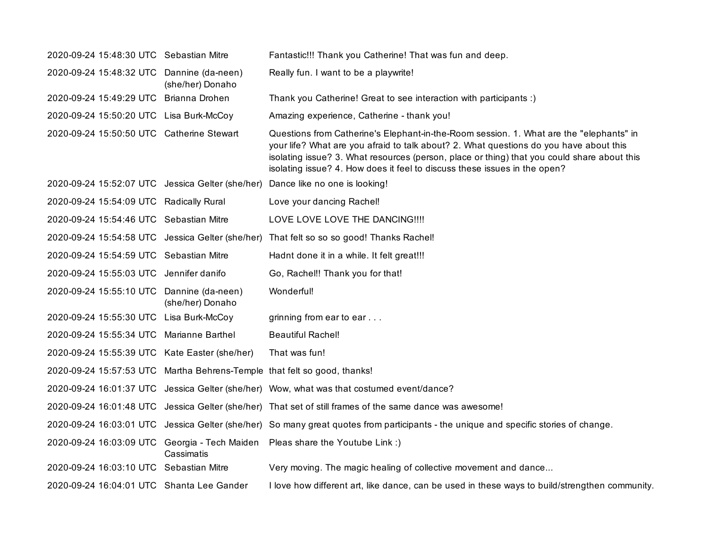| 2020-09-24 15:48:30 UTC Sebastian Mitre                                  |                  | Fantastic!!! Thank you Catherine! That was fun and deep.                                                                                                                                                                                                                                                                                                      |
|--------------------------------------------------------------------------|------------------|---------------------------------------------------------------------------------------------------------------------------------------------------------------------------------------------------------------------------------------------------------------------------------------------------------------------------------------------------------------|
| 2020-09-24 15:48:32 UTC Dannine (da-neen)                                | (she/her) Donaho | Really fun. I want to be a playwrite!                                                                                                                                                                                                                                                                                                                         |
| 2020-09-24 15:49:29 UTC Brianna Drohen                                   |                  | Thank you Catherine! Great to see interaction with participants :)                                                                                                                                                                                                                                                                                            |
| 2020-09-24 15:50:20 UTC Lisa Burk-McCoy                                  |                  | Amazing experience, Catherine - thank you!                                                                                                                                                                                                                                                                                                                    |
| 2020-09-24 15:50:50 UTC Catherine Stewart                                |                  | Questions from Catherine's Elephant-in-the-Room session. 1. What are the "elephants" in<br>your life? What are you afraid to talk about? 2. What questions do you have about this<br>isolating issue? 3. What resources (person, place or thing) that you could share about this<br>isolating issue? 4. How does it feel to discuss these issues in the open? |
|                                                                          |                  | 2020-09-24 15:52:07 UTC Jessica Gelter (she/her) Dance like no one is looking!                                                                                                                                                                                                                                                                                |
| 2020-09-24 15:54:09 UTC Radically Rural                                  |                  | Love your dancing Rachel!                                                                                                                                                                                                                                                                                                                                     |
| 2020-09-24 15:54:46 UTC Sebastian Mitre                                  |                  | LOVE LOVE LOVE THE DANCING !!!!                                                                                                                                                                                                                                                                                                                               |
| 2020-09-24 15:54:58 UTC Jessica Gelter (she/her)                         |                  | That felt so so so good! Thanks Rachel!                                                                                                                                                                                                                                                                                                                       |
| 2020-09-24 15:54:59 UTC Sebastian Mitre                                  |                  | Hadnt done it in a while. It felt great!!!                                                                                                                                                                                                                                                                                                                    |
| 2020-09-24 15:55:03 UTC Jennifer danifo                                  |                  | Go, Rachel!! Thank you for that!                                                                                                                                                                                                                                                                                                                              |
| 2020-09-24 15:55:10 UTC Dannine (da-neen)                                | (she/her) Donaho | Wonderful!                                                                                                                                                                                                                                                                                                                                                    |
| 2020-09-24 15:55:30 UTC Lisa Burk-McCoy                                  |                  | grinning from ear to ear                                                                                                                                                                                                                                                                                                                                      |
| 2020-09-24 15:55:34 UTC Marianne Barthel                                 |                  | <b>Beautiful Rachel!</b>                                                                                                                                                                                                                                                                                                                                      |
| 2020-09-24 15:55:39 UTC Kate Easter (she/her)                            |                  | That was fun!                                                                                                                                                                                                                                                                                                                                                 |
| 2020-09-24 15:57:53 UTC Martha Behrens-Temple that felt so good, thanks! |                  |                                                                                                                                                                                                                                                                                                                                                               |
|                                                                          |                  | 2020-09-24 16:01:37 UTC Jessica Gelter (she/her) Wow, what was that costumed event/dance?                                                                                                                                                                                                                                                                     |
|                                                                          |                  | 2020-09-24 16:01:48 UTC Jessica Gelter (she/her) That set of still frames of the same dance was awesome!                                                                                                                                                                                                                                                      |
|                                                                          |                  | 2020-09-24 16:03:01 UTC Jessica Gelter (she/her) So many great quotes from participants - the unique and specific stories of change.                                                                                                                                                                                                                          |
|                                                                          | Cassimatis       | 2020-09-24 16:03:09 UTC Georgia - Tech Maiden Pleas share the Youtube Link :)                                                                                                                                                                                                                                                                                 |
| 2020-09-24 16:03:10 UTC Sebastian Mitre                                  |                  | Very moving. The magic healing of collective movement and dance                                                                                                                                                                                                                                                                                               |
| 2020-09-24 16:04:01 UTC Shanta Lee Gander                                |                  | I love how different art, like dance, can be used in these ways to build/strengthen community.                                                                                                                                                                                                                                                                |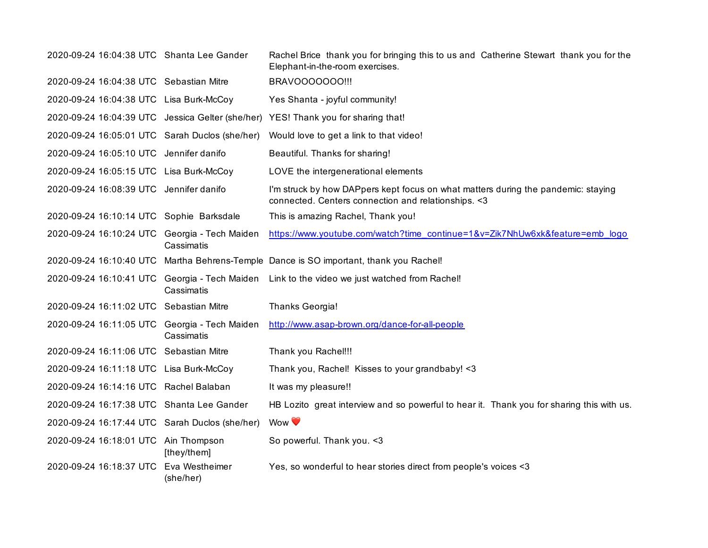| 2020-09-24 16:04:38 UTC Shanta Lee Gander      |                             | Rachel Brice thank you for bringing this to us and Catherine Stewart thank you for the<br>Elephant-in-the-room exercises.                 |
|------------------------------------------------|-----------------------------|-------------------------------------------------------------------------------------------------------------------------------------------|
| 2020-09-24 16:04:38 UTC Sebastian Mitre        |                             | BRAVOOOOOO0!!!                                                                                                                            |
| 2020-09-24 16:04:38 UTC Lisa Burk-McCoy        |                             | Yes Shanta - joyful community!                                                                                                            |
|                                                |                             | 2020-09-24 16:04:39 UTC Jessica Gelter (she/her) YES! Thank you for sharing that!                                                         |
| 2020-09-24 16:05:01 UTC Sarah Duclos (she/her) |                             | Would love to get a link to that video!                                                                                                   |
| 2020-09-24 16:05:10 UTC Jennifer danifo        |                             | Beautiful. Thanks for sharing!                                                                                                            |
| 2020-09-24 16:05:15 UTC Lisa Burk-McCoy        |                             | LOVE the intergenerational elements                                                                                                       |
| 2020-09-24 16:08:39 UTC Jennifer danifo        |                             | I'm struck by how DAPpers kept focus on what matters during the pandemic: staying<br>connected. Centers connection and relationships. < 3 |
| 2020-09-24 16:10:14 UTC Sophie Barksdale       |                             | This is amazing Rachel, Thank you!                                                                                                        |
| 2020-09-24 16:10:24 UTC Georgia - Tech Maiden  | Cassimatis                  | https://www.youtube.com/watch?time_continue=1&v=Zik7NhUw6xk&feature=emb_logo                                                              |
|                                                |                             | 2020-09-24 16:10:40 UTC Martha Behrens-Temple Dance is SO important, thank you Rachel!                                                    |
|                                                | Cassimatis                  | 2020-09-24 16:10:41 UTC Georgia - Tech Maiden Link to the video we just watched from Rachel!                                              |
| 2020-09-24 16:11:02 UTC Sebastian Mitre        |                             | Thanks Georgia!                                                                                                                           |
| 2020-09-24 16:11:05 UTC Georgia - Tech Maiden  | Cassimatis                  | http://www.asap-brown.org/dance-for-all-people                                                                                            |
| 2020-09-24 16:11:06 UTC Sebastian Mitre        |                             | Thank you Rachel!!!                                                                                                                       |
| 2020-09-24 16:11:18 UTC Lisa Burk-McCoy        |                             | Thank you, Rachel! Kisses to your grandbaby! <3                                                                                           |
| 2020-09-24 16:14:16 UTC Rachel Balaban         |                             | It was my pleasure!!                                                                                                                      |
| 2020-09-24 16:17:38 UTC Shanta Lee Gander      |                             | HB Lozito great interview and so powerful to hear it. Thank you for sharing this with us.                                                 |
| 2020-09-24 16:17:44 UTC Sarah Duclos (she/her) |                             | Wow <sup>V</sup>                                                                                                                          |
| 2020-09-24 16:18:01 UTC Ain Thompson           | [they/them]                 | So powerful. Thank you. < 3                                                                                                               |
| 2020-09-24 16:18:37 UTC                        | Eva Westheimer<br>(she/her) | Yes, so wonderful to hear stories direct from people's voices <3                                                                          |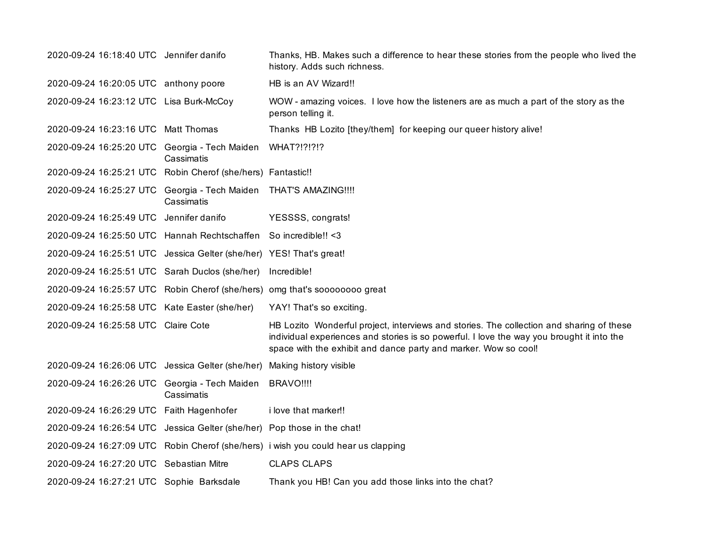| 2020-09-24 16:18:40 UTC Jennifer danifo                                 |            | Thanks, HB. Makes such a difference to hear these stories from the people who lived the<br>history. Adds such richness.                                                                                                                                  |
|-------------------------------------------------------------------------|------------|----------------------------------------------------------------------------------------------------------------------------------------------------------------------------------------------------------------------------------------------------------|
| 2020-09-24 16:20:05 UTC anthony poore                                   |            | HB is an AV Wizard!!                                                                                                                                                                                                                                     |
| 2020-09-24 16:23:12 UTC Lisa Burk-McCoy                                 |            | WOW - amazing voices. I love how the listeners are as much a part of the story as the<br>person telling it.                                                                                                                                              |
| 2020-09-24 16:23:16 UTC Matt Thomas                                     |            | Thanks HB Lozito [they/them] for keeping our queer history alive!                                                                                                                                                                                        |
| 2020-09-24 16:25:20 UTC Georgia - Tech Maiden                           | Cassimatis | <b>WHAT?!?!?!?</b>                                                                                                                                                                                                                                       |
| 2020-09-24 16:25:21 UTC Robin Cherof (she/hers) Fantastic !!            |            |                                                                                                                                                                                                                                                          |
| 2020-09-24 16:25:27 UTC Georgia - Tech Maiden THAT'S AMAZING !!!!       | Cassimatis |                                                                                                                                                                                                                                                          |
| 2020-09-24 16:25:49 UTC Jennifer danifo                                 |            | YESSSS, congrats!                                                                                                                                                                                                                                        |
| 2020-09-24 16:25:50 UTC Hannah Rechtschaffen So incredible!! < 3        |            |                                                                                                                                                                                                                                                          |
| 2020-09-24 16:25:51 UTC Jessica Gelter (she/her) YES! That's great!     |            |                                                                                                                                                                                                                                                          |
| 2020-09-24 16:25:51 UTC Sarah Duclos (she/her)                          |            | Incredible!                                                                                                                                                                                                                                              |
|                                                                         |            | 2020-09-24 16:25:57 UTC Robin Cherof (she/hers) omg that's soooooooo great                                                                                                                                                                               |
| 2020-09-24 16:25:58 UTC Kate Easter (she/her)                           |            | YAY! That's so exciting.                                                                                                                                                                                                                                 |
| 2020-09-24 16:25:58 UTC Claire Cote                                     |            | HB Lozito Wonderful project, interviews and stories. The collection and sharing of these<br>individual experiences and stories is so powerful. I love the way you brought it into the<br>space with the exhibit and dance party and marker. Wow so cool! |
| 2020-09-24 16:26:06 UTC Jessica Gelter (she/her) Making history visible |            |                                                                                                                                                                                                                                                          |
| 2020-09-24 16:26:26 UTC Georgia - Tech Maiden BRAVO !!!!                | Cassimatis |                                                                                                                                                                                                                                                          |
| 2020-09-24 16:26:29 UTC Faith Hagenhofer                                |            | i love that marker!!                                                                                                                                                                                                                                     |
| 2020-09-24 16:26:54 UTC Jessica Gelter (she/her) Pop those in the chat! |            |                                                                                                                                                                                                                                                          |
|                                                                         |            | 2020-09-24 16:27:09 UTC Robin Cherof (she/hers) i wish you could hear us clapping                                                                                                                                                                        |
| 2020-09-24 16:27:20 UTC Sebastian Mitre                                 |            | <b>CLAPS CLAPS</b>                                                                                                                                                                                                                                       |
| 2020-09-24 16:27:21 UTC Sophie Barksdale                                |            | Thank you HB! Can you add those links into the chat?                                                                                                                                                                                                     |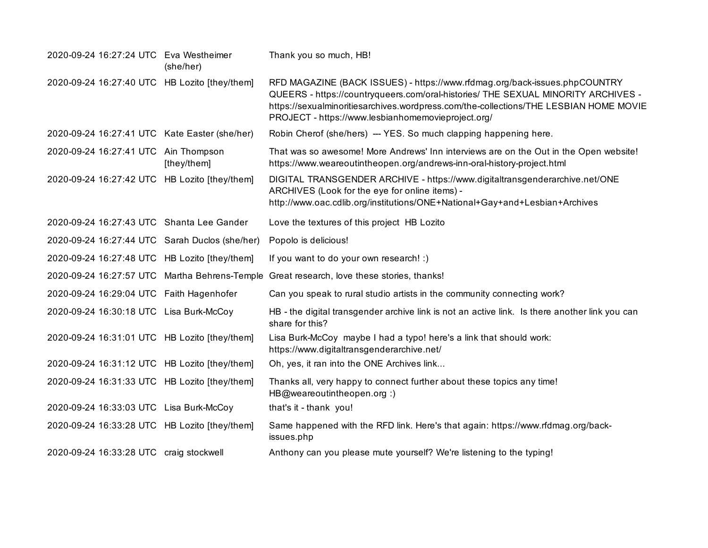| 2020-09-24 16:27:24 UTC Eva Westheimer         | (she/her)   | Thank you so much, HB!                                                                                                                                                                                                                                                                                         |
|------------------------------------------------|-------------|----------------------------------------------------------------------------------------------------------------------------------------------------------------------------------------------------------------------------------------------------------------------------------------------------------------|
| 2020-09-24 16:27:40 UTC HB Lozito [they/them]  |             | RFD MAGAZINE (BACK ISSUES) - https://www.rfdmag.org/back-issues.phpCOUNTRY<br>QUEERS - https://countryqueers.com/oral-histories/ THE SEXUAL MINORITY ARCHIVES -<br>https://sexualminoritiesarchives.wordpress.com/the-collections/THE LESBIAN HOME MOVIE<br>PROJECT - https://www.lesbianhomemovieproject.org/ |
| 2020-09-24 16:27:41 UTC Kate Easter (she/her)  |             | Robin Cherof (she/hers) --- YES. So much clapping happening here.                                                                                                                                                                                                                                              |
| 2020-09-24 16:27:41 UTC Ain Thompson           | [they/them] | That was so awesome! More Andrews' Inn interviews are on the Out in the Open website!<br>https://www.weareoutintheopen.org/andrews-inn-oral-history-project.html                                                                                                                                               |
| 2020-09-24 16:27:42 UTC HB Lozito [they/them]  |             | DIGITAL TRANSGENDER ARCHIVE - https://www.digitaltransgenderarchive.net/ONE<br>ARCHIVES (Look for the eye for online items) -<br>http://www.oac.cdlib.org/institutions/ONE+National+Gay+and+Lesbian+Archives                                                                                                   |
| 2020-09-24 16:27:43 UTC Shanta Lee Gander      |             | Love the textures of this project HB Lozito                                                                                                                                                                                                                                                                    |
| 2020-09-24 16:27:44 UTC Sarah Duclos (she/her) |             | Popolo is delicious!                                                                                                                                                                                                                                                                                           |
| 2020-09-24 16:27:48 UTC HB Lozito [they/them]  |             | If you want to do your own research! :)                                                                                                                                                                                                                                                                        |
|                                                |             | 2020-09-24 16:27:57 UTC Martha Behrens-Temple Great research, love these stories, thanks!                                                                                                                                                                                                                      |
| 2020-09-24 16:29:04 UTC Faith Hagenhofer       |             | Can you speak to rural studio artists in the community connecting work?                                                                                                                                                                                                                                        |
| 2020-09-24 16:30:18 UTC Lisa Burk-McCoy        |             | HB - the digital transgender archive link is not an active link. Is there another link you can<br>share for this?                                                                                                                                                                                              |
| 2020-09-24 16:31:01 UTC HB Lozito [they/them]  |             | Lisa Burk-McCoy maybe I had a typo! here's a link that should work:<br>https://www.digitaltransgenderarchive.net/                                                                                                                                                                                              |
| 2020-09-24 16:31:12 UTC HB Lozito [they/them]  |             | Oh, yes, it ran into the ONE Archives link                                                                                                                                                                                                                                                                     |
| 2020-09-24 16:31:33 UTC HB Lozito [they/them]  |             | Thanks all, very happy to connect further about these topics any time!<br>HB@weareoutintheopen.org :)                                                                                                                                                                                                          |
| 2020-09-24 16:33:03 UTC Lisa Burk-McCoy        |             | that's it - thank you!                                                                                                                                                                                                                                                                                         |
| 2020-09-24 16:33:28 UTC HB Lozito [they/them]  |             | Same happened with the RFD link. Here's that again: https://www.rfdmag.org/back-<br>issues.php                                                                                                                                                                                                                 |
| 2020-09-24 16:33:28 UTC craig stockwell        |             | Anthony can you please mute yourself? We're listening to the typing!                                                                                                                                                                                                                                           |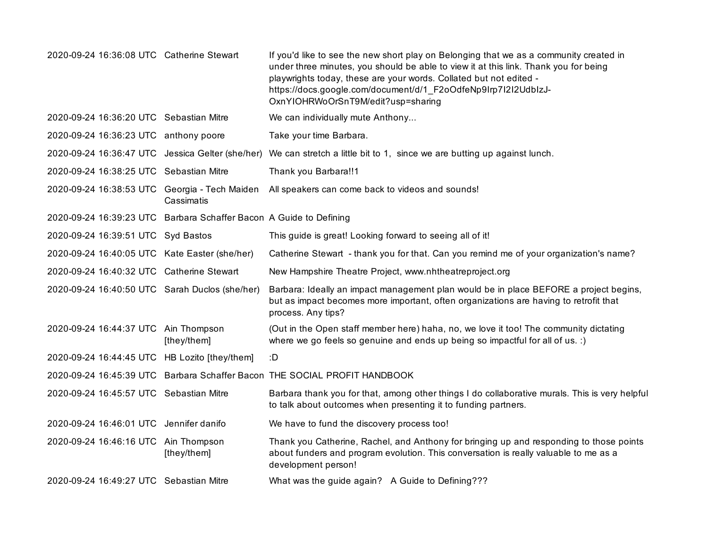| 2020-09-24 16:36:08 UTC Catherine Stewart                          |             | If you'd like to see the new short play on Belonging that we as a community created in<br>under three minutes, you should be able to view it at this link. Thank you for being<br>playwrights today, these are your words. Collated but not edited -<br>https://docs.google.com/document/d/1_F2oOdfeNp9Irp7I2I2UdbIzJ-<br>OxnYIOHRWoOrSnT9M/edit?usp=sharing |
|--------------------------------------------------------------------|-------------|--------------------------------------------------------------------------------------------------------------------------------------------------------------------------------------------------------------------------------------------------------------------------------------------------------------------------------------------------------------|
| 2020-09-24 16:36:20 UTC Sebastian Mitre                            |             | We can individually mute Anthony                                                                                                                                                                                                                                                                                                                             |
| 2020-09-24 16:36:23 UTC anthony poore                              |             | Take your time Barbara.                                                                                                                                                                                                                                                                                                                                      |
|                                                                    |             | 2020-09-24 16:36:47 UTC Jessica Gelter (she/her) We can stretch a little bit to 1, since we are butting up against lunch.                                                                                                                                                                                                                                    |
| 2020-09-24 16:38:25 UTC Sebastian Mitre                            |             | Thank you Barbara!!1                                                                                                                                                                                                                                                                                                                                         |
| 2020-09-24 16:38:53 UTC Georgia - Tech Maiden                      | Cassimatis  | All speakers can come back to videos and sounds!                                                                                                                                                                                                                                                                                                             |
| 2020-09-24 16:39:23 UTC Barbara Schaffer Bacon A Guide to Defining |             |                                                                                                                                                                                                                                                                                                                                                              |
| 2020-09-24 16:39:51 UTC Syd Bastos                                 |             | This guide is great! Looking forward to seeing all of it!                                                                                                                                                                                                                                                                                                    |
| 2020-09-24 16:40:05 UTC Kate Easter (she/her)                      |             | Catherine Stewart - thank you for that. Can you remind me of your organization's name?                                                                                                                                                                                                                                                                       |
| 2020-09-24 16:40:32 UTC Catherine Stewart                          |             | New Hampshire Theatre Project, www.nhtheatreproject.org                                                                                                                                                                                                                                                                                                      |
| 2020-09-24 16:40:50 UTC Sarah Duclos (she/her)                     |             | Barbara: Ideally an impact management plan would be in place BEFORE a project begins,<br>but as impact becomes more important, often organizations are having to retrofit that<br>process. Any tips?                                                                                                                                                         |
| 2020-09-24 16:44:37 UTC Ain Thompson                               | [they/them] | (Out in the Open staff member here) haha, no, we love it too! The community dictating<br>where we go feels so genuine and ends up being so impactful for all of us. :)                                                                                                                                                                                       |
| 2020-09-24 16:44:45 UTC HB Lozito [they/them]                      |             | :D                                                                                                                                                                                                                                                                                                                                                           |
|                                                                    |             | 2020-09-24 16:45:39 UTC Barbara Schaffer Bacon THE SOCIAL PROFIT HANDBOOK                                                                                                                                                                                                                                                                                    |
| 2020-09-24 16:45:57 UTC Sebastian Mitre                            |             | Barbara thank you for that, among other things I do collaborative murals. This is very helpful<br>to talk about outcomes when presenting it to funding partners.                                                                                                                                                                                             |
| 2020-09-24 16:46:01 UTC Jennifer danifo                            |             | We have to fund the discovery process too!                                                                                                                                                                                                                                                                                                                   |
| 2020-09-24 16:46:16 UTC Ain Thompson                               | [they/them] | Thank you Catherine, Rachel, and Anthony for bringing up and responding to those points<br>about funders and program evolution. This conversation is really valuable to me as a<br>development person!                                                                                                                                                       |
| 2020-09-24 16:49:27 UTC Sebastian Mitre                            |             | What was the guide again? A Guide to Defining???                                                                                                                                                                                                                                                                                                             |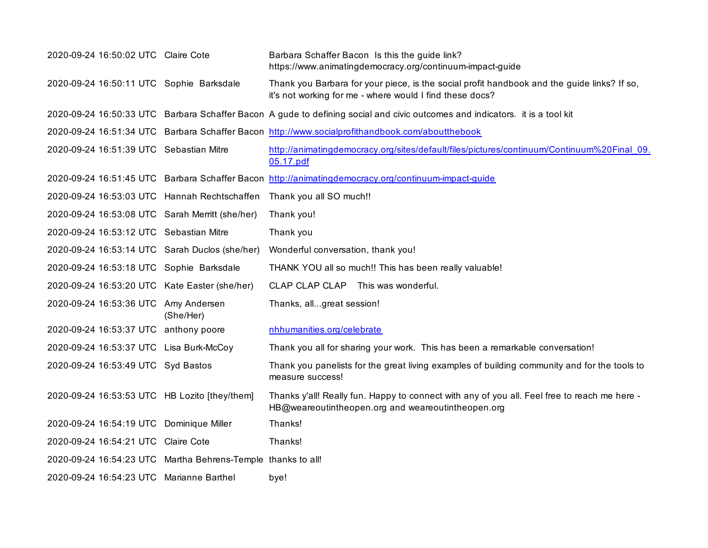| 2020-09-24 16:50:02 UTC Claire Cote                          |           | Barbara Schaffer Bacon Is this the guide link?<br>https://www.animatingdemocracy.org/continuum-impact-guide                                             |
|--------------------------------------------------------------|-----------|---------------------------------------------------------------------------------------------------------------------------------------------------------|
| 2020-09-24 16:50:11 UTC Sophie Barksdale                     |           | Thank you Barbara for your piece, is the social profit handbook and the guide links? If so,<br>it's not working for me - where would I find these docs? |
|                                                              |           | 2020-09-24 16:50:33 UTC Barbara Schaffer Bacon A gude to defining social and civic outcomes and indicators. it is a tool kit                            |
|                                                              |           | 2020-09-24 16:51:34 UTC Barbara Schaffer Bacon http://www.socialprofithandbook.com/aboutthebook                                                         |
| 2020-09-24 16:51:39 UTC Sebastian Mitre                      |           | http://animatingdemocracy.org/sites/default/files/pictures/continuum/Continuum%20Final 09.<br>05.17.pdf                                                 |
|                                                              |           | 2020-09-24 16:51:45 UTC Barbara Schaffer Bacon http://animatingdemocracy.org/continuum-impact-guide                                                     |
| 2020-09-24 16:53:03 UTC Hannah Rechtschaffen                 |           | Thank you all SO much!!                                                                                                                                 |
| 2020-09-24 16:53:08 UTC Sarah Merritt (she/her)              |           | Thank you!                                                                                                                                              |
| 2020-09-24 16:53:12 UTC Sebastian Mitre                      |           | Thank you                                                                                                                                               |
| 2020-09-24 16:53:14 UTC Sarah Duclos (she/her)               |           | Wonderful conversation, thank you!                                                                                                                      |
| 2020-09-24 16:53:18 UTC Sophie Barksdale                     |           | THANK YOU all so much!! This has been really valuable!                                                                                                  |
| 2020-09-24 16:53:20 UTC Kate Easter (she/her)                |           | CLAP CLAP CLAP This was wonderful.                                                                                                                      |
| 2020-09-24 16:53:36 UTC Amy Andersen                         | (She/Her) | Thanks, allgreat session!                                                                                                                               |
| 2020-09-24 16:53:37 UTC anthony poore                        |           | nhhumanities.org/celebrate                                                                                                                              |
| 2020-09-24 16:53:37 UTC Lisa Burk-McCoy                      |           | Thank you all for sharing your work. This has been a remarkable conversation!                                                                           |
| 2020-09-24 16:53:49 UTC Syd Bastos                           |           | Thank you panelists for the great living examples of building community and for the tools to<br>measure success!                                        |
| 2020-09-24 16:53:53 UTC HB Lozito [they/them]                |           | Thanks y'all! Really fun. Happy to connect with any of you all. Feel free to reach me here -<br>HB@weareoutintheopen.org and weareoutintheopen.org      |
| 2020-09-24 16:54:19 UTC Dominique Miller                     |           | Thanks!                                                                                                                                                 |
| 2020-09-24 16:54:21 UTC Claire Cote                          |           | Thanks!                                                                                                                                                 |
| 2020-09-24 16:54:23 UTC Martha Behrens-Temple thanks to all! |           |                                                                                                                                                         |
| 2020-09-24 16:54:23 UTC Marianne Barthel                     |           | bye!                                                                                                                                                    |